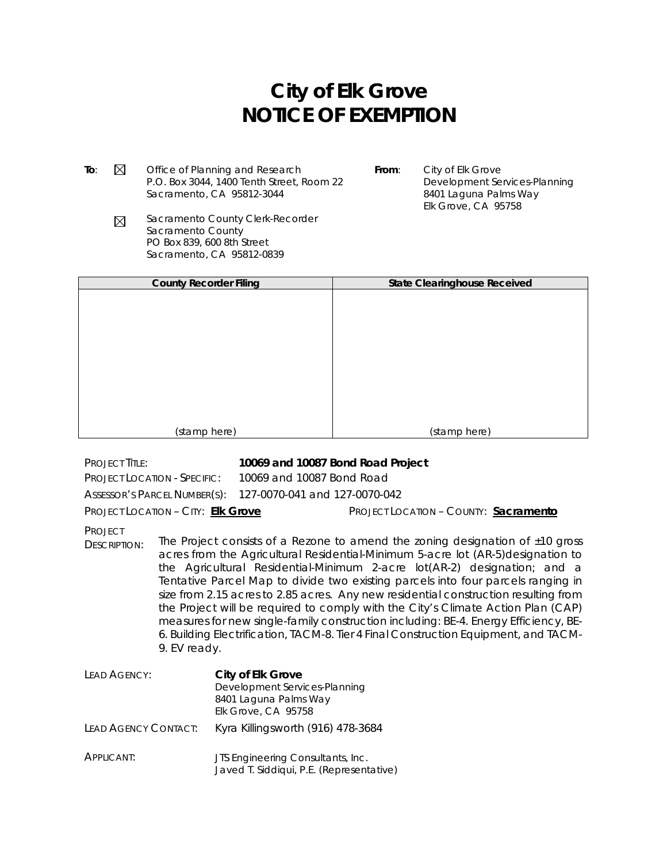## **City of Elk Grove NOTICE OF EXEMPTION**

**To:**  $\boxtimes$  Office of Planning and Research P.O. Box 3044, 1400 Tenth Street, Room 22 Sacramento, CA 95812-3044

**From**: City of Elk Grove Development Services-Planning 8401 Laguna Palms Way Elk Grove, CA 95758

Sacramento County Clerk-Recorder  $\boxtimes$ Sacramento County PO Box 839, 600 8th Street Sacramento, CA 95812-0839

| <b>County Recorder Filing</b> | <b>State Clearinghouse Received</b> |
|-------------------------------|-------------------------------------|
|                               |                                     |
|                               |                                     |
|                               |                                     |
|                               |                                     |
|                               |                                     |
|                               |                                     |
|                               |                                     |
|                               |                                     |
|                               |                                     |
| (stamp here)                  | (stamp here)                        |

PROJECT TITLE: **10069 and 10087 Bond Road Project** PROJECT LOCATION - SPECIFIC: 10069 and 10087 Bond Road ASSESSOR'S PARCEL NUMBER(S): 127-0070-041 and 127-0070-042 PROJECT LOCATION – CITY: **Elk Grove** PROJECT LOCATION – COUNTY: **Sacramento** PROJECT DESCRIPTION: The Project consists of a Rezone to amend the zoning designation of  $\pm 10$  gross acres from the Agricultural Residential-Minimum 5-acre lot (AR-5)designation to the Agricultural Residential-Minimum 2-acre lot(AR-2) designation; and a Tentative Parcel Map to divide two existing parcels into four parcels ranging in size from 2.15 acres to 2.85 acres. Any new residential construction resulting from the Project will be required to comply with the City's Climate Action Plan (CAP) measures for new single-family construction including: BE-4. Energy Efficiency, BE-6. Building Electrification, TACM-8. Tier 4 Final Construction Equipment, and TACM-9. EV ready. LEAD AGENCY: **City of Elk Grove** Development Services-Planning 8401 Laguna Palms Way Elk Grove, CA 95758 LEAD AGENCY CONTACT: Kyra Killingsworth (916) 478-3684

APPLICANT: **JTS Engineering Consultants, Inc.** Javed T. Siddiqui, P.E. (Representative)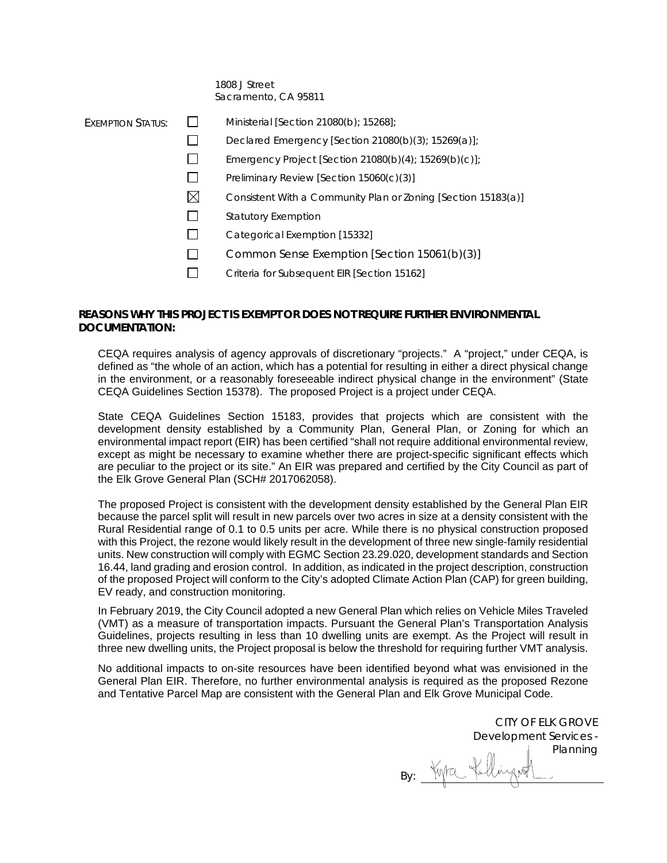## 1808 J Street Sacramento, CA 95811

| EXEMPTION STATUS: |             | Ministerial [Section 21080(b); 15268];                        |
|-------------------|-------------|---------------------------------------------------------------|
|                   |             | Declared Emergency [Section 21080(b)(3); 15269(a)];           |
|                   |             | Emergency Project [Section 21080(b)(4); $15269(b)(c)$ ];      |
|                   |             | Preliminary Review [Section 15060(c)(3)]                      |
|                   | $\boxtimes$ | Consistent With a Community Plan or Zoning [Section 15183(a)] |
|                   |             | <b>Statutory Exemption</b>                                    |
|                   |             | Categorical Exemption [15332]                                 |
|                   |             | Common Sense Exemption [Section 15061(b)(3)]                  |
|                   |             | Criteria for Subsequent EIR [Section 15162]                   |
|                   |             |                                                               |

## **REASONS WHY THIS PROJECT IS EXEMPT OR DOES NOT REQUIRE FURTHER ENVIRONMENTAL DOCUMENTATION:**

CEQA requires analysis of agency approvals of discretionary "projects." A "project," under CEQA, is defined as "the whole of an action, which has a potential for resulting in either a direct physical change in the environment, or a reasonably foreseeable indirect physical change in the environment" (State CEQA Guidelines Section 15378). The proposed Project is a project under CEQA.

State CEQA Guidelines Section 15183, provides that projects which are consistent with the development density established by a Community Plan, General Plan, or Zoning for which an environmental impact report (EIR) has been certified "shall not require additional environmental review, except as might be necessary to examine whether there are project-specific significant effects which are peculiar to the project or its site." An EIR was prepared and certified by the City Council as part of the Elk Grove General Plan (SCH# 2017062058).

The proposed Project is consistent with the development density established by the General Plan EIR because the parcel split will result in new parcels over two acres in size at a density consistent with the Rural Residential range of 0.1 to 0.5 units per acre. While there is no physical construction proposed with this Project, the rezone would likely result in the development of three new single-family residential units. New construction will comply with EGMC Section 23.29.020, development standards and Section 16.44, land grading and erosion control. In addition, as indicated in the project description, construction of the proposed Project will conform to the City's adopted Climate Action Plan (CAP) for green building, EV ready, and construction monitoring.

In February 2019, the City Council adopted a new General Plan which relies on Vehicle Miles Traveled (VMT) as a measure of transportation impacts. Pursuant the General Plan's Transportation Analysis Guidelines, projects resulting in less than 10 dwelling units are exempt. As the Project will result in three new dwelling units, the Project proposal is below the threshold for requiring further VMT analysis.

No additional impacts to on-site resources have been identified beyond what was envisioned in the General Plan EIR. Therefore, no further environmental analysis is required as the proposed Rezone and Tentative Parcel Map are consistent with the General Plan and Elk Grove Municipal Code.

CITY OF ELK GROVE Development Services - Planning By: What fullingent